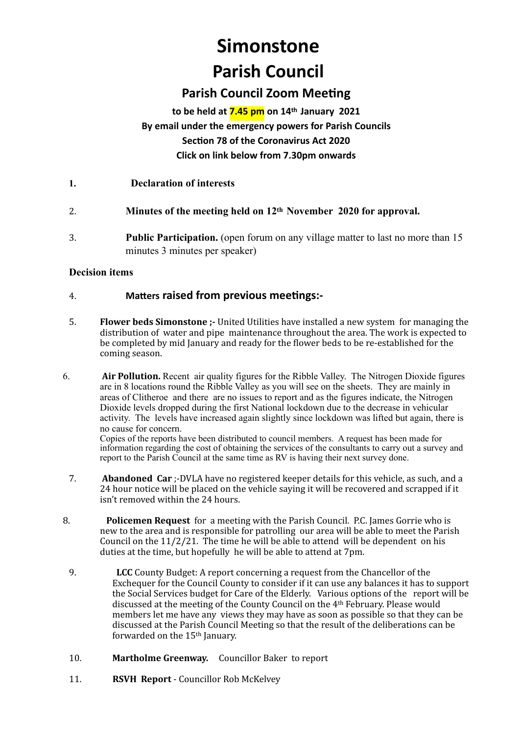# **Simonstone**

# **Parish Council**

# **Parish Council Zoom Meeting**

# **to be held at 7.45 pm on 14th January 2021 By email under the emergency powers for Parish Councils Section 78 of the Coronavirus Act 2020 Click on link below from 7.30pm onwards**

- **1. Declaration of interests**
- 2. **Minutes of the meeting held on 12th November 2020 for approval.**
- 3. **Public Participation.** (open forum on any village matter to last no more than 15 minutes 3 minutes per speaker)

#### **Decision items**

#### 4. **Matters raised from previous meetings:-**

- 5. **Flower beds Simonstone** :- United Utilities have installed a new system for managing the distribution of water and pipe maintenance throughout the area. The work is expected to be completed by mid January and ready for the flower beds to be re-established for the coming season.
- 6. **Air Pollution.** Recent air quality figures for the Ribble Valley. The Nitrogen Dioxide figures are in 8 locations round the Ribble Valley as you will see on the sheets. They are mainly in areas of Clitheroe and there are no issues to report and as the figures indicate, the Nitrogen Dioxide levels dropped during the first National lockdown due to the decrease in vehicular activity. The levels have increased again slightly since lockdown was lifted but again, there is no cause for concern.

Copies of the reports have been distributed to council members. A request has been made for information regarding the cost of obtaining the services of the consultants to carry out a survey and report to the Parish Council at the same time as RV is having their next survey done.

- 7. **Abandoned Car** ;-DVLA have no registered keeper details for this vehicle, as such, and a 24 hour notice will be placed on the vehicle saying it will be recovered and scrapped if it isn't removed within the 24 hours.
- 8. **Policemen Request** for a meeting with the Parish Council. P.C. James Gorrie who is new to the area and is responsible for patrolling our area will be able to meet the Parish Council on the  $11/2/21$ . The time he will be able to attend will be dependent on his duties at the time, but hopefully he will be able to attend at 7pm.
	- 9. **LCC** County Budget: A report concerning a request from the Chancellor of the Exchequer for the Council County to consider if it can use any balances it has to support the Social Services budget for Care of the Elderly. Various options of the report will be discussed at the meeting of the County Council on the 4<sup>th</sup> February. Please would members let me have any views they may have as soon as possible so that they can be discussed at the Parish Council Meeting so that the result of the deliberations can be forwarded on the 15<sup>th</sup> January.
	- 10. **Martholme Greenway.** Councillor Baker to report
	- 11. **RSVH Report** Councillor Rob McKelvey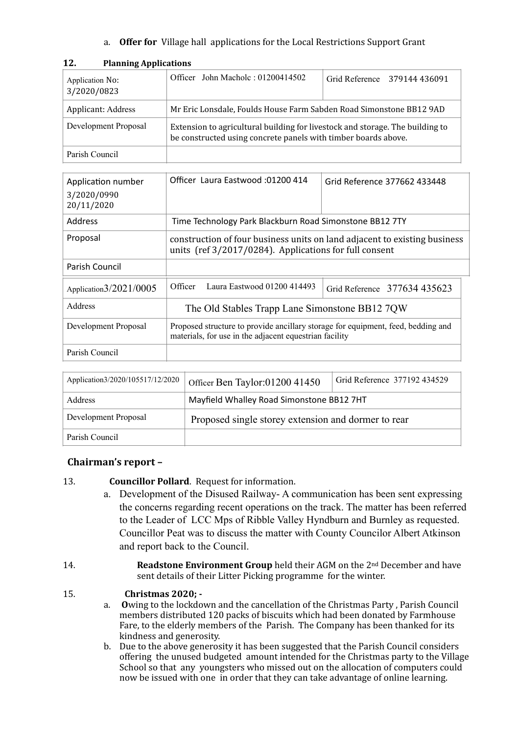a. **Offer for** Village hall applications for the Local Restrictions Support Grant

| Application No:<br>3/2020/0823 | Officer John Macholc: 01200414502                                                                                                               | Grid Reference 379144 436091 |  |  |
|--------------------------------|-------------------------------------------------------------------------------------------------------------------------------------------------|------------------------------|--|--|
| Applicant: Address             | Mr Eric Lonsdale, Foulds House Farm Sabden Road Simonstone BB12 9AD                                                                             |                              |  |  |
| Development Proposal           | Extension to agricultural building for livestock and storage. The building to<br>be constructed using concrete panels with timber boards above. |                              |  |  |
| Parish Council                 |                                                                                                                                                 |                              |  |  |

#### **12. Planning Applications**

| Application number<br>3/2020/0990<br>20/11/2020 | Officer Laura Eastwood: 01200 414                                                                                                          | Grid Reference 377662 433448 |  |  |  |
|-------------------------------------------------|--------------------------------------------------------------------------------------------------------------------------------------------|------------------------------|--|--|--|
| <b>Address</b>                                  | Time Technology Park Blackburn Road Simonstone BB12 7TY                                                                                    |                              |  |  |  |
| Proposal                                        | construction of four business units on land adjacent to existing business<br>units (ref 3/2017/0284). Applications for full consent        |                              |  |  |  |
| Parish Council                                  |                                                                                                                                            |                              |  |  |  |
| Application $3/2021/0005$                       | Officer<br>Laura Eastwood 01200 414493                                                                                                     | Grid Reference 377634 435623 |  |  |  |
| Address                                         | The Old Stables Trapp Lane Simonstone BB12 7OW                                                                                             |                              |  |  |  |
| Development Proposal                            | Proposed structure to provide ancillary storage for equipment, feed, bedding and<br>materials, for use in the adjacent equestrian facility |                              |  |  |  |
| Parish Council                                  |                                                                                                                                            |                              |  |  |  |
|                                                 |                                                                                                                                            |                              |  |  |  |

Application3/2020/105517/12/2020 | Officer Ben Taylor:01200 41450 | Grid Reference 377192 434529

| the concerns regarding recent operations on the track. The matter has been referred |
|-------------------------------------------------------------------------------------|
| to the Leader of LCC Mps of Ribble Valley Hyndburn and Burnley as requested.        |
| Councillor Peat was to discuss the matter with County Councilor Albert Atkinson     |

Address Mayfield Whalley Road Simonstone BB12 7HT

Development Proposal Proposed single storey extension and dormer to rear

13. **Councillor Pollard**. Request for information.

and report back to the Council.

14. **Readstone Environment Group** held their AGM on the 2<sup>nd</sup> December and have sent details of their Litter Picking programme for the winter.

## 15. **Christmas 2020:** -

Chairman's report -

Parish Council

a. Owing to the lockdown and the cancellation of the Christmas Party, Parish Council members distributed 120 packs of biscuits which had been donated by Farmhouse Fare, to the elderly members of the Parish. The Company has been thanked for its kindness and generosity.

a. Development of the Disused Railway- A communication has been sent expressing

b. Due to the above generosity it has been suggested that the Parish Council considers offering the unused budgeted amount intended for the Christmas party to the Village School so that any youngsters who missed out on the allocation of computers could now be issued with one in order that they can take advantage of online learning.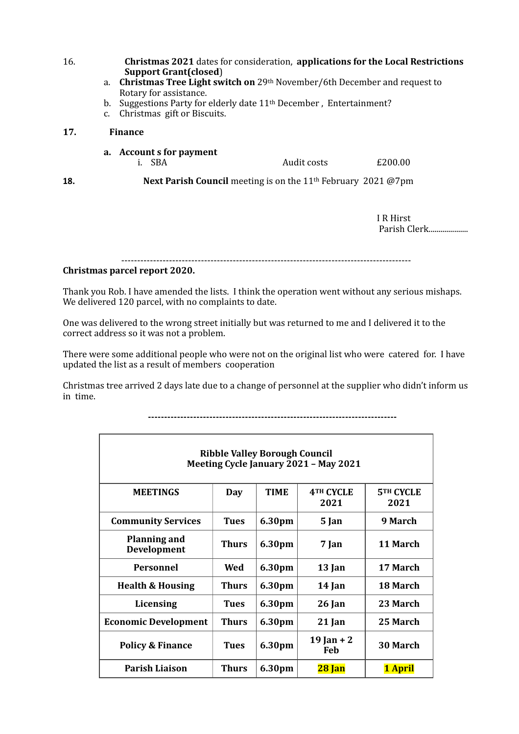16. **Christmas 2021** dates for consideration, **applications** for the Local Restrictions **Support Grant(closed**)

- a. **Christmas Tree Light switch on** 29th November/6th December and request to Rotary for assistance.
- b. Suggestions Party for elderly date 11<sup>th</sup> December, Entertainment?
- c. Christmas gift or Biscuits.

#### **17. Finance**

**a.** Account **s** for payment i. SBA Audit costs £200.00

**18. Next Parish Council** meeting is on the 11<sup>th</sup> February 2021 @7pm

I R Hirst Parish Clerk.....................

-------------------------------------------------------------------------------------------

#### **Christmas parcel report 2020.**

Thank you Rob. I have amended the lists. I think the operation went without any serious mishaps. We delivered 120 parcel, with no complaints to date.

One was delivered to the wrong street initially but was returned to me and I delivered it to the correct address so it was not a problem.

There were some additional people who were not on the original list who were catered for. I have updated the list as a result of members cooperation

Christmas tree arrived 2 days late due to a change of personnel at the supplier who didn't inform us in time.

| <b>Ribble Valley Borough Council</b><br>Meeting Cycle January 2021 - May 2021 |              |             |                               |                          |  |
|-------------------------------------------------------------------------------|--------------|-------------|-------------------------------|--------------------------|--|
| <b>MEETINGS</b>                                                               | Day          | <b>TIME</b> | 4 <sup>TH</sup> CYCLE<br>2021 | <b>5TH CYCLE</b><br>2021 |  |
| <b>Community Services</b>                                                     | <b>Tues</b>  | 6.30pm      | 5 Jan                         | 9 March                  |  |
| <b>Planning and</b><br><b>Development</b>                                     | <b>Thurs</b> | 6.30pm      | 7 Jan                         | 11 March                 |  |
| Personnel                                                                     | Wed          | 6.30pm      | 13 Jan                        | 17 March                 |  |
| <b>Health &amp; Housing</b>                                                   | <b>Thurs</b> | 6.30pm      | 14 Jan                        | 18 March                 |  |
| Licensing                                                                     | <b>Tues</b>  | 6.30pm      | 26 Jan                        | 23 March                 |  |
| <b>Economic Development</b>                                                   | <b>Thurs</b> | 6.30pm      | 21 Jan                        | 25 March                 |  |
| <b>Policy &amp; Finance</b>                                                   | <b>Tues</b>  | 6.30pm      | 19 Jan + 2<br>Feb             | <b>30 March</b>          |  |
| <b>Parish Liaison</b>                                                         | <b>Thurs</b> | 6.30pm      | 28 Jan                        | 1 April                  |  |

**-----------------------------------------------------------------------------**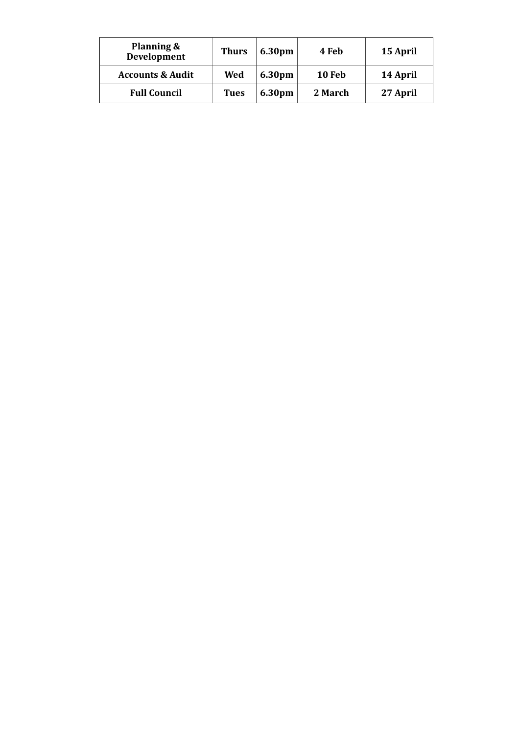| Planning &<br>Development   | <b>Thurs</b> | 6.30pm | 4 Feb         | 15 April |
|-----------------------------|--------------|--------|---------------|----------|
| <b>Accounts &amp; Audit</b> | Wed          | 6.30pm | <b>10 Feb</b> | 14 April |
| <b>Full Council</b>         | <b>Tues</b>  | 6.30pm | 2 March       | 27 April |